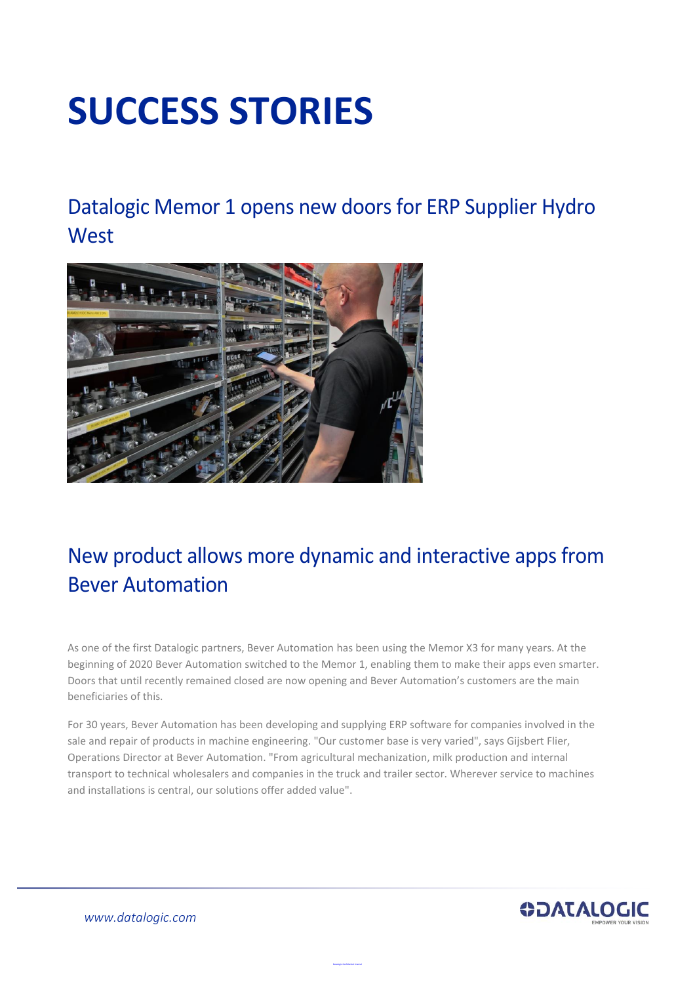# **SUCCESS STORIES**

Datalogic Memor 1 opens new doors for ERP Supplier Hydro **West** 



# New product allows more dynamic and interactive apps from Bever Automation

As one of the first Datalogic partners, Bever Automation has been using the Memor X3 for many years. At the beginning of 2020 Bever Automation switched to the Memor 1, enabling them to make their apps even smarter. Doors that until recently remained closed are now opening and Bever Automation's customers are the main beneficiaries of this.

For 30 years, Bever Automation has been developing and supplying ERP software for companies involved in the sale and repair of products in machine engineering. "Our customer base is very varied", says Gijsbert Flier, Operations Director at Bever Automation. "From agricultural mechanization, milk production and internal transport to technical wholesalers and companies in the truck and trailer sector. Wherever service to machines and installations is central, our solutions offer added value".

Datalogic Confidential Internal



*[www.datalogic.com](http://www.datalogic.com/)*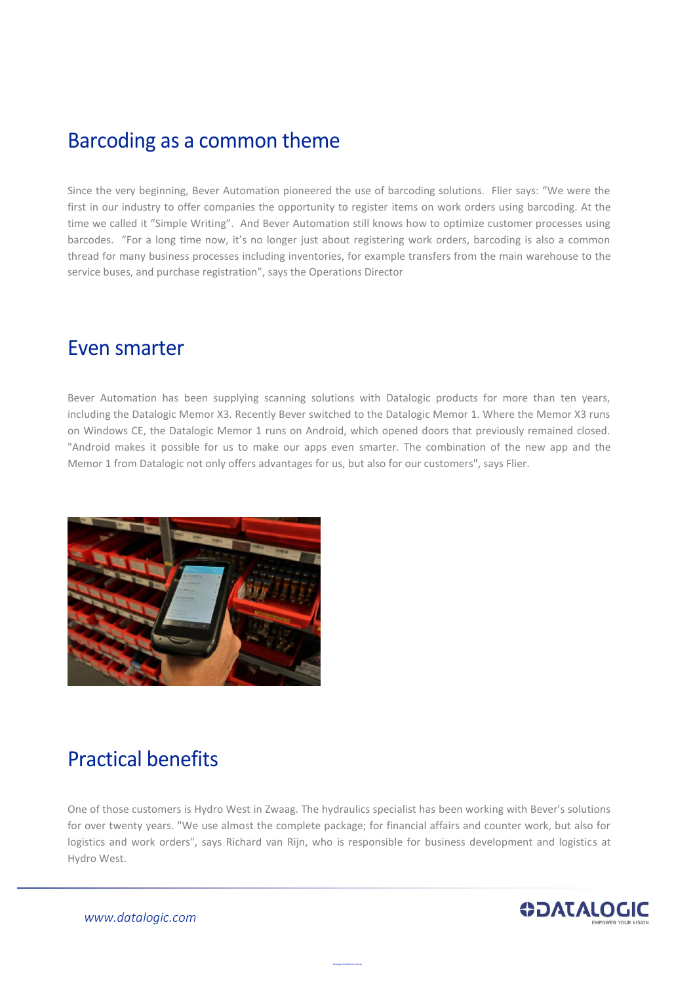### Barcoding as a common theme

Since the very beginning, Bever Automation pioneered the use of barcoding solutions. Flier says: "We were the first in our industry to offer companies the opportunity to register items on work orders using barcoding. At the time we called it "Simple Writing". And Bever Automation still knows how to optimize customer processes using barcodes. "For a long time now, it's no longer just about registering work orders, barcoding is also a common thread for many business processes including inventories, for example transfers from the main warehouse to the service buses, and purchase registration", says the Operations Director

#### Even smarter

Bever Automation has been supplying scanning solutions with Datalogic products for more than ten years, including the Datalogic Memor X3. Recently Bever switched to the Datalogic Memor 1. Where the Memor X3 runs on Windows CE, the Datalogic Memor 1 runs on Android, which opened doors that previously remained closed. "Android makes it possible for us to make our apps even smarter. The combination of the new app and the Memor 1 from Datalogic not only offers advantages for us, but also for our customers", says Flier.



# Practical benefits

One of those customers is Hydro West in Zwaag. The hydraulics specialist has been working with Bever's solutions for over twenty years. "We use almost the complete package; for financial affairs and counter work, but also for logistics and work orders", says Richard van Rijn, who is responsible for business development and logistics at Hydro West.

Datalogic Confidential Internal



*[www.datalogic.com](http://www.datalogic.com/)*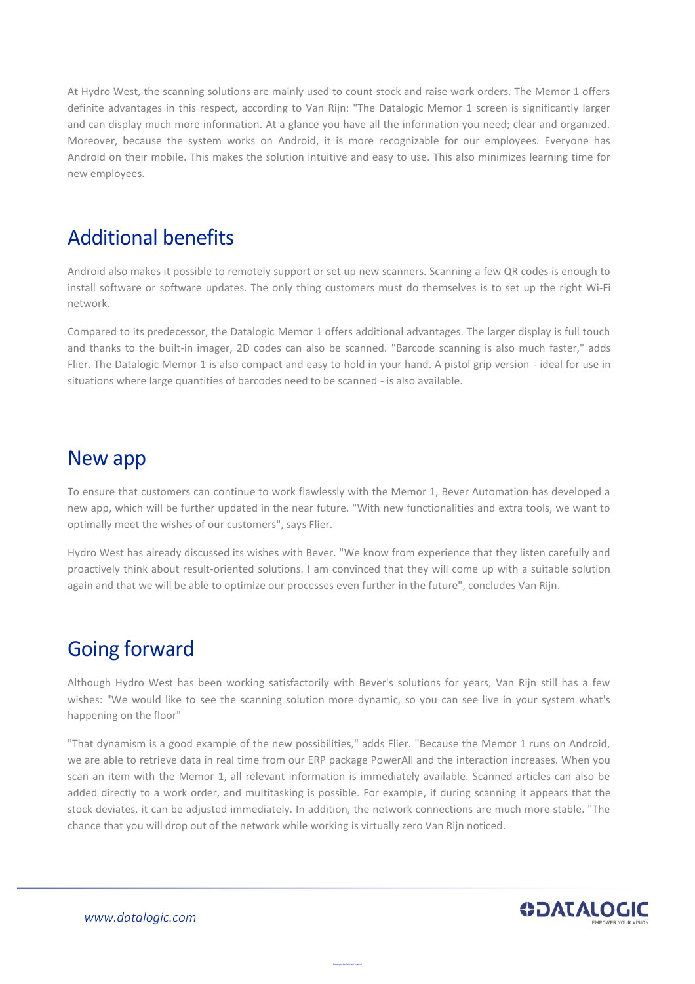At Hydro West, the scanning solutions are mainly used to count stock and raise work orders. The Memor 1 offers definite advantages in this respect, according to Van Rijn: "The Datalogic Memor 1 screen is significantly larger and can display much more information. At a glance you have all the information you need; clear and organized. Moreover, because the system works on Android, it is more recognizable for our employees. Everyone has Android on their mobile. This makes the solution intuitive and easy to use. This also minimizes learning time for new employees.

## Additional benefits

Android also makes it possible to remotely support or set up new scanners. Scanning a few QR codes is enough to install software or software updates. The only thing customers must do themselves is to set up the right Wi-Fi network.

Compared to its predecessor, the Datalogic Memor 1 offers additional advantages. The larger display is full touch and thanks to the built-in imager, 2D codes can also be scanned. "Barcode scanning is also much faster," adds Flier. The Datalogic Memor 1 is also compact and easy to hold in your hand. A pistol grip version - ideal for use in situations where large quantities of barcodes need to be scanned - is also available.

#### New app

To ensure that customers can continue to work flawlessly with the Memor 1, Bever Automation has developed a new app, which will be further updated in the near future. "With new functionalities and extra tools, we want to optimally meet the wishes of our customers", says Flier.

Hydro West has already discussed its wishes with Bever. "We know from experience that they listen carefully and proactively think about result-oriented solutions. I am convinced that they will come up with a suitable solution again and that we will be able to optimize our processes even further in the future", concludes Van Rijn.

# Going forward

Although Hydro West has been working satisfactorily with Bever's solutions for years, Van Rijn still has a few wishes: "We would like to see the scanning solution more dynamic, so you can see live in your system what's happening on the floor"

"That dynamism is a good example of the new possibilities," adds Flier. "Because the Memor 1 runs on Android, we are able to retrieve data in real time from our ERP package PowerAll and the interaction increases. When you scan an item with the Memor 1, all relevant information is immediately available. Scanned articles can also be added directly to a work order, and multitasking is possible. For example, if during scanning it appears that the stock deviates, it can be adjusted immediately. In addition, the network connections are much more stable. "The chance that you will drop out of the network while working is virtually zero Van Rijn noticed.

Datalogic Confidential Internal